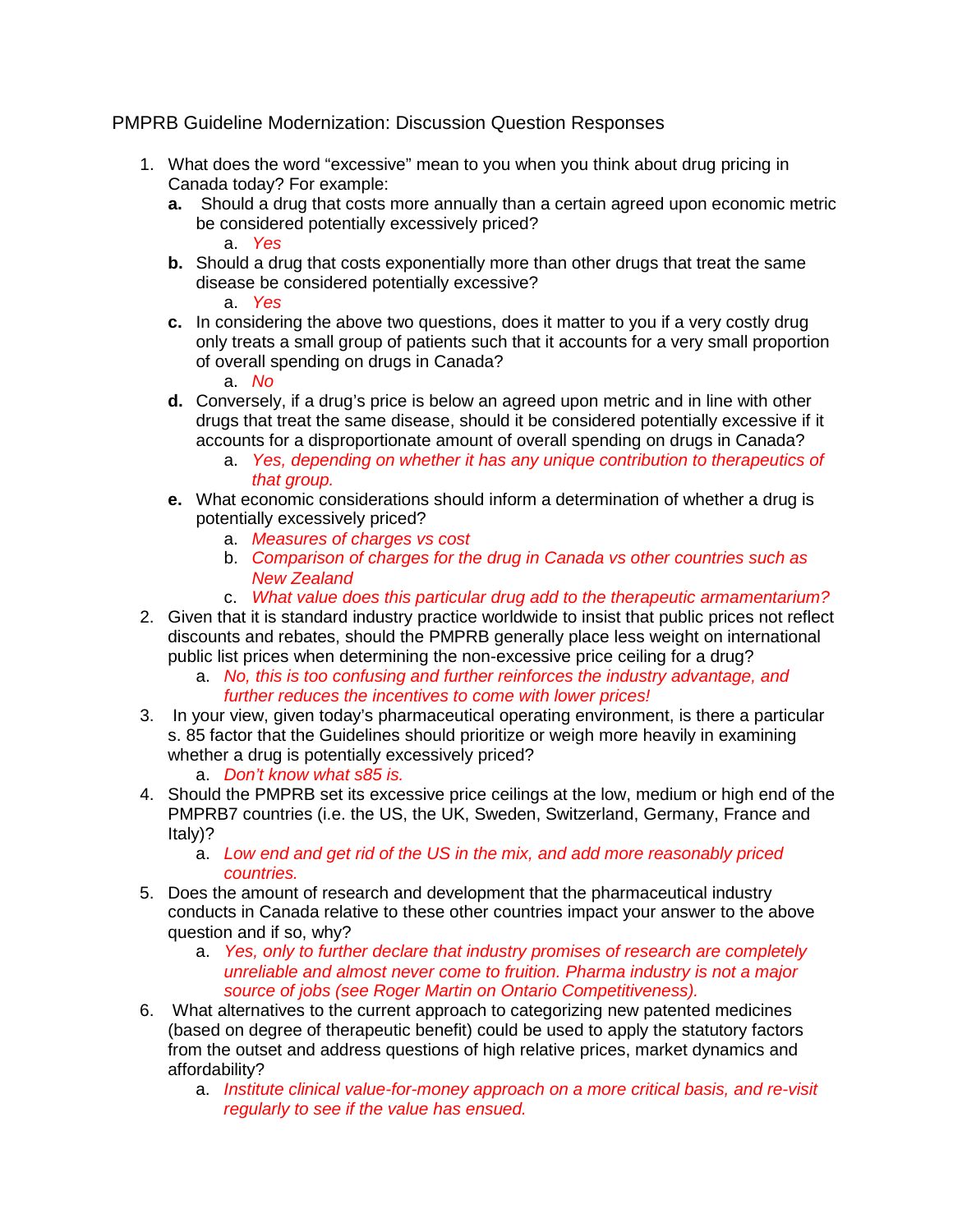## PMPRB Guideline Modernization: Discussion Question Responses

- 1. What does the word "excessive" mean to you when you think about drug pricing in Canada today? For example:
	- **a.** Should a drug that costs more annually than a certain agreed upon economic metric be considered potentially excessively priced? a. *Yes*
	- **b.** Should a drug that costs exponentially more than other drugs that treat the same disease be considered potentially excessive?

a. *Yes*

**c.** In considering the above two questions, does it matter to you if a very costly drug only treats a small group of patients such that it accounts for a very small proportion of overall spending on drugs in Canada?

a. *No*

- **d.** Conversely, if a drug's price is below an agreed upon metric and in line with other drugs that treat the same disease, should it be considered potentially excessive if it accounts for a disproportionate amount of overall spending on drugs in Canada?
	- a. *Yes, depending on whether it has any unique contribution to therapeutics of that group.*
- **e.** What economic considerations should inform a determination of whether a drug is potentially excessively priced?
	- a. *Measures of charges vs cost*
	- b. *Comparison of charges for the drug in Canada vs other countries such as New Zealand*
	- c. *What value does this particular drug add to the therapeutic armamentarium?*
- 2. Given that it is standard industry practice worldwide to insist that public prices not reflect discounts and rebates, should the PMPRB generally place less weight on international public list prices when determining the non-excessive price ceiling for a drug?
	- a. *No, this is too confusing and further reinforces the industry advantage, and further reduces the incentives to come with lower prices!*
- 3. In your view, given today's pharmaceutical operating environment, is there a particular s. 85 factor that the Guidelines should prioritize or weigh more heavily in examining whether a drug is potentially excessively priced?

a. *Don't know what s85 is.*

- 4. Should the PMPRB set its excessive price ceilings at the low, medium or high end of the PMPRB7 countries (i.e. the US, the UK, Sweden, Switzerland, Germany, France and Italy)?
	- a. *Low end and get rid of the US in the mix, and add more reasonably priced countries.*
- 5. Does the amount of research and development that the pharmaceutical industry conducts in Canada relative to these other countries impact your answer to the above question and if so, why?
	- a. *Yes, only to further declare that industry promises of research are completely unreliable and almost never come to fruition. Pharma industry is not a major source of jobs (see Roger Martin on Ontario Competitiveness).*
- 6. What alternatives to the current approach to categorizing new patented medicines (based on degree of therapeutic benefit) could be used to apply the statutory factors from the outset and address questions of high relative prices, market dynamics and affordability?
	- a. *Institute clinical value-for-money approach on a more critical basis, and re-visit regularly to see if the value has ensued.*